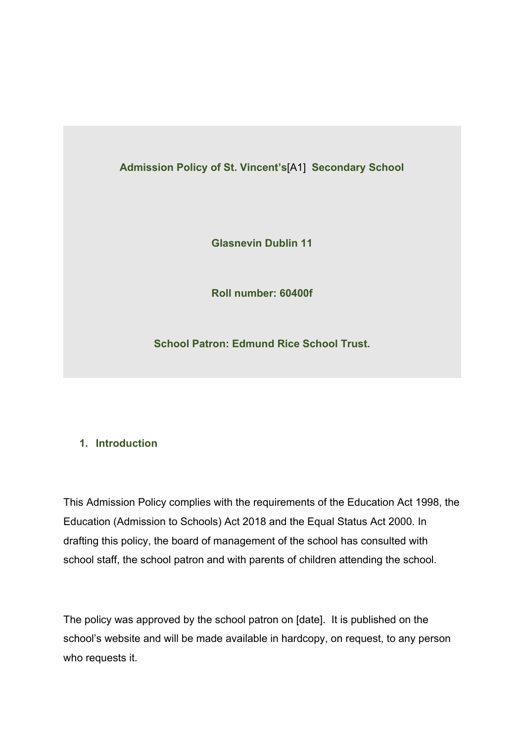**Admission Policy of St. Vincent's**[A1] **Secondary School**

**Glasnevin Dublin 11**

**Roll number: 60400f**

**School Patron: Edmund Rice School Trust.**

## **1. Introduction**

This Admission Policy complies with the requirements of the Education Act 1998, the Education (Admission to Schools) Act 2018 and the Equal Status Act 2000. In drafting this policy, the board of management of the school has consulted with school staff, the school patron and with parents of children attending the school.

The policy was approved by the school patron on [date]. It is published on the school's website and will be made available in hardcopy, on request, to any person who requests it.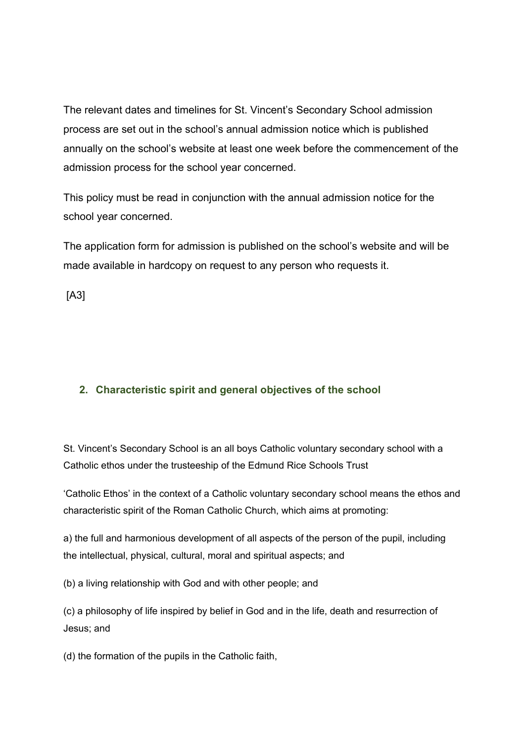The relevant dates and timelines for St. Vincent's Secondary School admission process are set out in the school's annual admission notice which is published annually on the school's website at least one week before the commencement of the admission process for the school year concerned.

This policy must be read in conjunction with the annual admission notice for the school year concerned.

The application form for admission is published on the school's website and will be made available in hardcopy on request to any person who requests it.

[A3]

### **2. Characteristic spirit and general objectives of the school**

St. Vincent's Secondary School is an all boys Catholic voluntary secondary school with a Catholic ethos under the trusteeship of the Edmund Rice Schools Trust

'Catholic Ethos' in the context of a Catholic voluntary secondary school means the ethos and characteristic spirit of the Roman Catholic Church, which aims at promoting:

a) the full and harmonious development of all aspects of the person of the pupil, including the intellectual, physical, cultural, moral and spiritual aspects; and

(b) a living relationship with God and with other people; and

(c) a philosophy of life inspired by belief in God and in the life, death and resurrection of Jesus; and

(d) the formation of the pupils in the Catholic faith,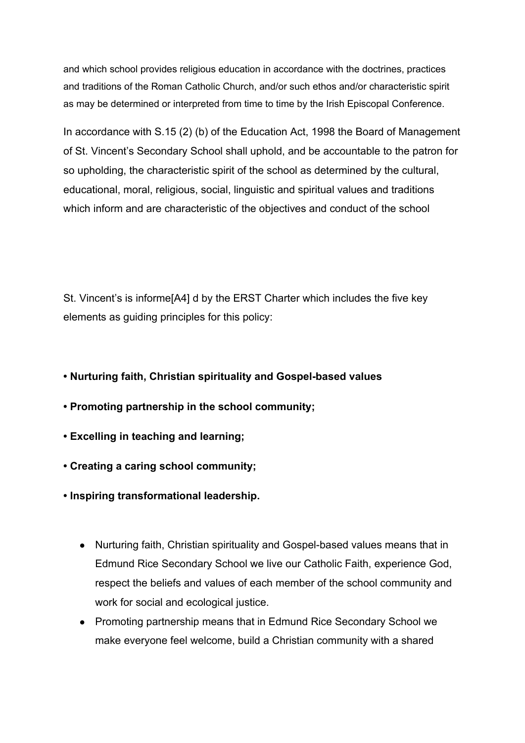and which school provides religious education in accordance with the doctrines, practices and traditions of the Roman Catholic Church, and/or such ethos and/or characteristic spirit as may be determined or interpreted from time to time by the Irish Episcopal Conference.

In accordance with S.15 (2) (b) of the Education Act, 1998 the Board of Management of St. Vincent's Secondary School shall uphold, and be accountable to the patron for so upholding, the characteristic spirit of the school as determined by the cultural, educational, moral, religious, social, linguistic and spiritual values and traditions which inform and are characteristic of the objectives and conduct of the school

St. Vincent's is informe[A4] d by the ERST Charter which includes the five key elements as guiding principles for this policy:

- **Nurturing faith, Christian spirituality and Gospel-based values**
- **Promoting partnership in the school community;**
- **Excelling in teaching and learning;**
- **Creating a caring school community;**
- **Inspiring transformational leadership.**
	- Nurturing faith, Christian spirituality and Gospel-based values means that in Edmund Rice Secondary School we live our Catholic Faith, experience God, respect the beliefs and values of each member of the school community and work for social and ecological justice.
	- Promoting partnership means that in Edmund Rice Secondary School we make everyone feel welcome, build a Christian community with a shared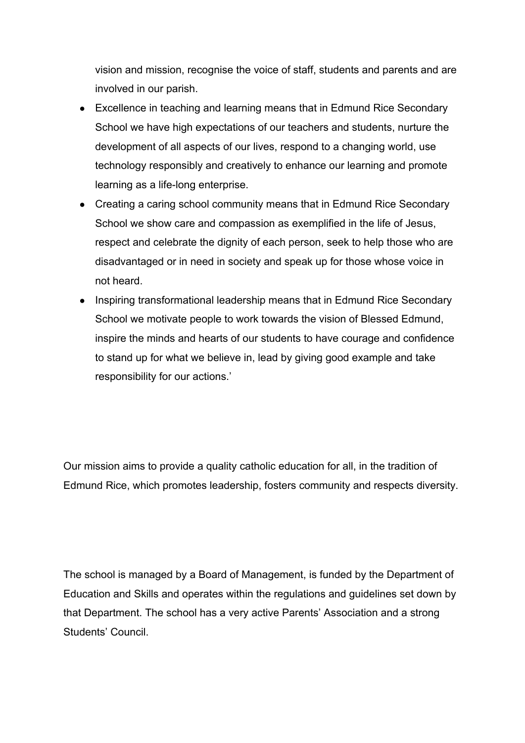vision and mission, recognise the voice of staff, students and parents and are involved in our parish.

- Excellence in teaching and learning means that in Edmund Rice Secondary School we have high expectations of our teachers and students, nurture the development of all aspects of our lives, respond to a changing world, use technology responsibly and creatively to enhance our learning and promote learning as a life-long enterprise.
- Creating a caring school community means that in Edmund Rice Secondary School we show care and compassion as exemplified in the life of Jesus, respect and celebrate the dignity of each person, seek to help those who are disadvantaged or in need in society and speak up for those whose voice in not heard.
- Inspiring transformational leadership means that in Edmund Rice Secondary School we motivate people to work towards the vision of Blessed Edmund, inspire the minds and hearts of our students to have courage and confidence to stand up for what we believe in, lead by giving good example and take responsibility for our actions.'

Our mission aims to provide a quality catholic education for all, in the tradition of Edmund Rice, which promotes leadership, fosters community and respects diversity.

The school is managed by a Board of Management, is funded by the Department of Education and Skills and operates within the regulations and guidelines set down by that Department. The school has a very active Parents' Association and a strong Students' Council.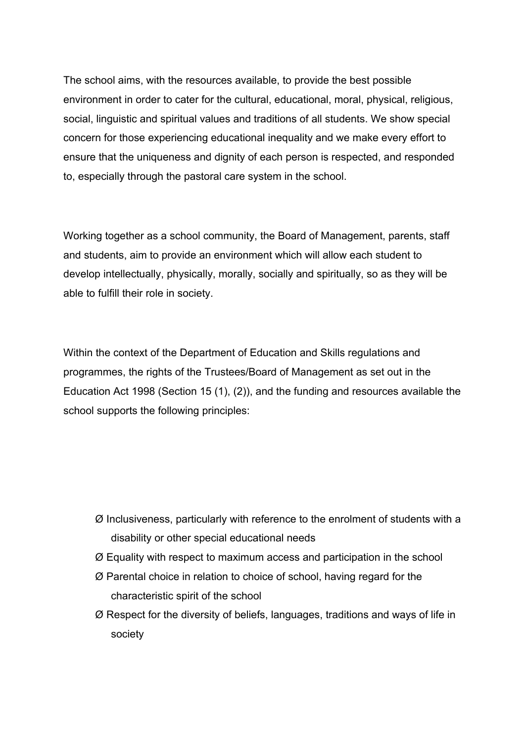The school aims, with the resources available, to provide the best possible environment in order to cater for the cultural, educational, moral, physical, religious, social, linguistic and spiritual values and traditions of all students. We show special concern for those experiencing educational inequality and we make every effort to ensure that the uniqueness and dignity of each person is respected, and responded to, especially through the pastoral care system in the school.

Working together as a school community, the Board of Management, parents, staff and students, aim to provide an environment which will allow each student to develop intellectually, physically, morally, socially and spiritually, so as they will be able to fulfill their role in society.

Within the context of the Department of Education and Skills regulations and programmes, the rights of the Trustees/Board of Management as set out in the Education Act 1998 (Section 15 (1), (2)), and the funding and resources available the school supports the following principles:

- Ø Inclusiveness, particularly with reference to the enrolment of students with a disability or other special educational needs
- Ø Equality with respect to maximum access and participation in the school
- Ø Parental choice in relation to choice of school, having regard for the characteristic spirit of the school
- Ø Respect for the diversity of beliefs, languages, traditions and ways of life in society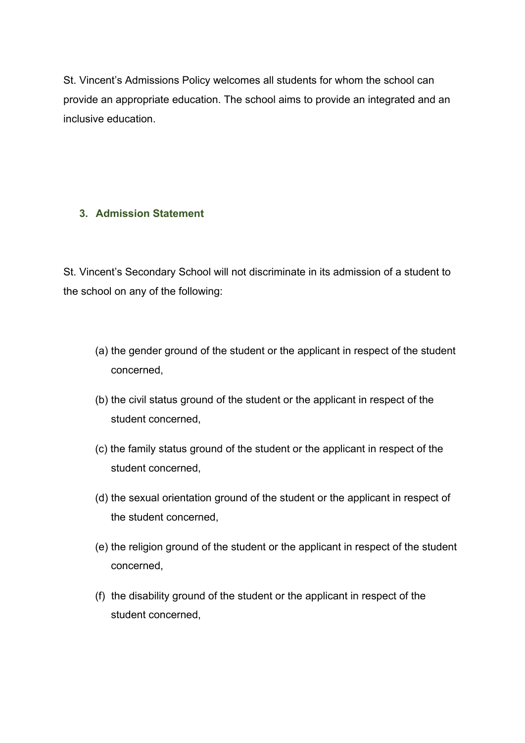St. Vincent's Admissions Policy welcomes all students for whom the school can provide an appropriate education. The school aims to provide an integrated and an inclusive education.

### **3. Admission Statement**

St. Vincent's Secondary School will not discriminate in its admission of a student to the school on any of the following:

- (a) the gender ground of the student or the applicant in respect of the student concerned,
- (b) the civil status ground of the student or the applicant in respect of the student concerned,
- (c) the family status ground of the student or the applicant in respect of the student concerned,
- (d) the sexual orientation ground of the student or the applicant in respect of the student concerned,
- (e) the religion ground of the student or the applicant in respect of the student concerned,
- (f) the disability ground of the student or the applicant in respect of the student concerned,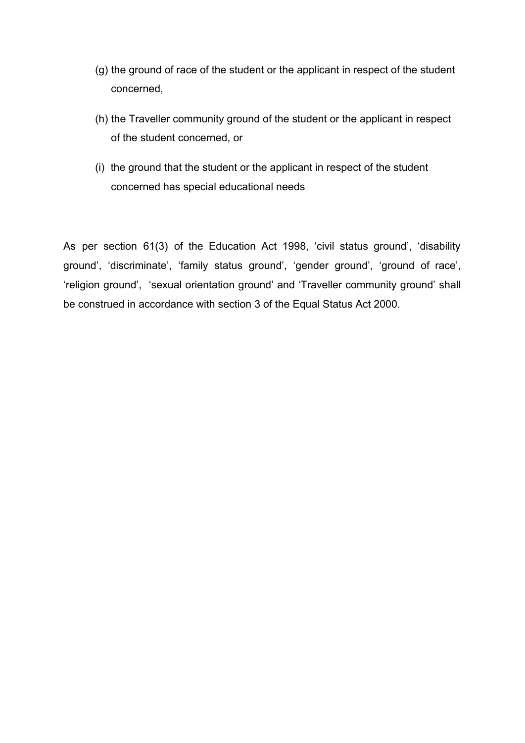- (g) the ground of race of the student or the applicant in respect of the student concerned,
- (h) the Traveller community ground of the student or the applicant in respect of the student concerned, or
- (i) the ground that the student or the applicant in respect of the student concerned has special educational needs

As per section 61(3) of the Education Act 1998, 'civil status ground', 'disability ground', 'discriminate', 'family status ground', 'gender ground', 'ground of race', 'religion ground', 'sexual orientation ground' and 'Traveller community ground' shall be construed in accordance with section 3 of the Equal Status Act 2000.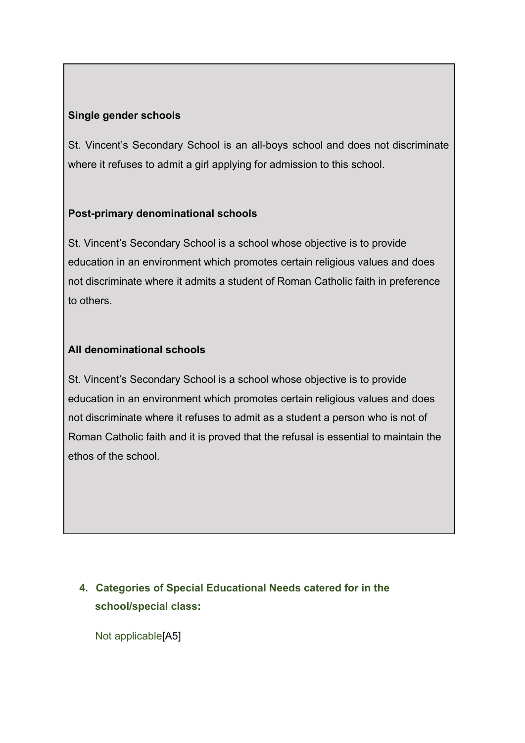### **Single gender schools**

St. Vincent's Secondary School is an all-boys school and does not discriminate where it refuses to admit a girl applying for admission to this school.

### **Post-primary denominational schools**

St. Vincent's Secondary School is a school whose objective is to provide education in an environment which promotes certain religious values and does not discriminate where it admits a student of Roman Catholic faith in preference to others.

### **All denominational schools**

St. Vincent's Secondary School is a school whose objective is to provide education in an environment which promotes certain religious values and does not discriminate where it refuses to admit as a student a person who is not of Roman Catholic faith and it is proved that the refusal is essential to maintain the ethos of the school.

# **4. Categories of Special Educational Needs catered for in the school/special class:**

Not applicable[A5]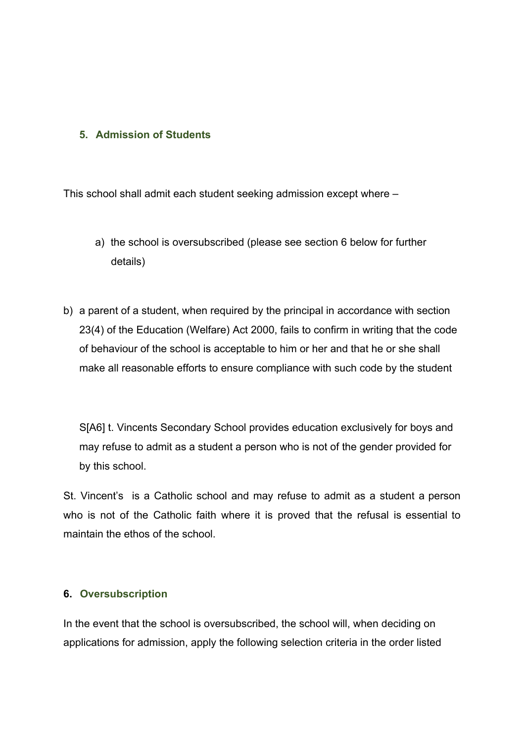#### **5. Admission of Students**

This school shall admit each student seeking admission except where –

- a) the school is oversubscribed (please see section 6 below for further details)
- b) a parent of a student, when required by the principal in accordance with section 23(4) of the Education (Welfare) Act 2000, fails to confirm in writing that the code of behaviour of the school is acceptable to him or her and that he or she shall make all reasonable efforts to ensure compliance with such code by the student

S[A6] t. Vincents Secondary School provides education exclusively for boys and may refuse to admit as a student a person who is not of the gender provided for by this school.

St. Vincent's is a Catholic school and may refuse to admit as a student a person who is not of the Catholic faith where it is proved that the refusal is essential to maintain the ethos of the school.

#### **6. Oversubscription**

In the event that the school is oversubscribed, the school will, when deciding on applications for admission, apply the following selection criteria in the order listed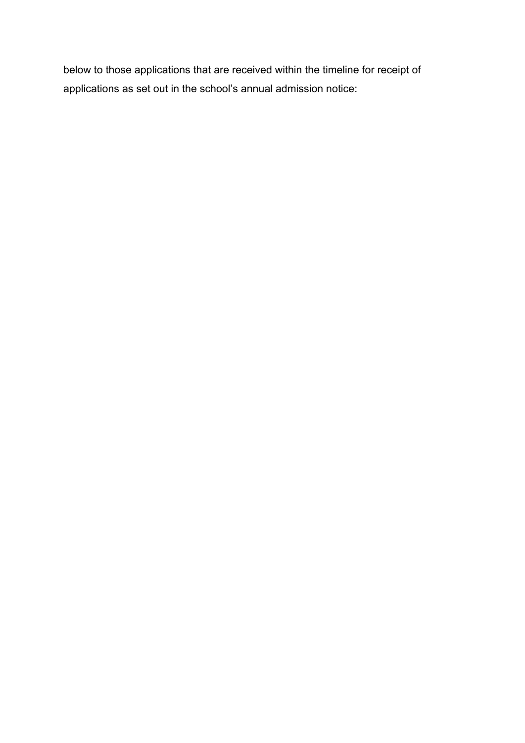below to those applications that are received within the timeline for receipt of applications as set out in the school's annual admission notice: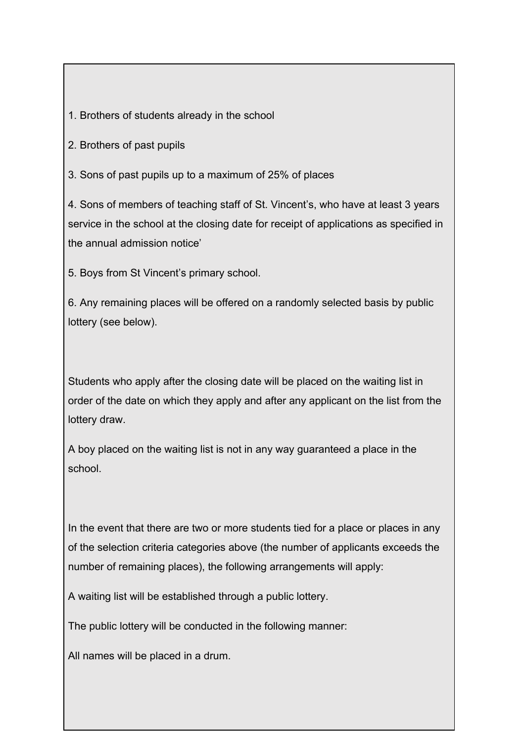1. Brothers of students already in the school

2. Brothers of past pupils

3. Sons of past pupils up to a maximum of 25% of places

4. Sons of members of teaching staff of St. Vincent's, who have at least 3 years service in the school at the closing date for receipt of applications as specified in the annual admission notice'

5. Boys from St Vincent's primary school.

6. Any remaining places will be offered on a randomly selected basis by public lottery (see below).

Students who apply after the closing date will be placed on the waiting list in order of the date on which they apply and after any applicant on the list from the lottery draw.

A boy placed on the waiting list is not in any way guaranteed a place in the school.

In the event that there are two or more students tied for a place or places in any of the selection criteria categories above (the number of applicants exceeds the number of remaining places), the following arrangements will apply:

A waiting list will be established through a public lottery.

The public lottery will be conducted in the following manner:

All names will be placed in a drum.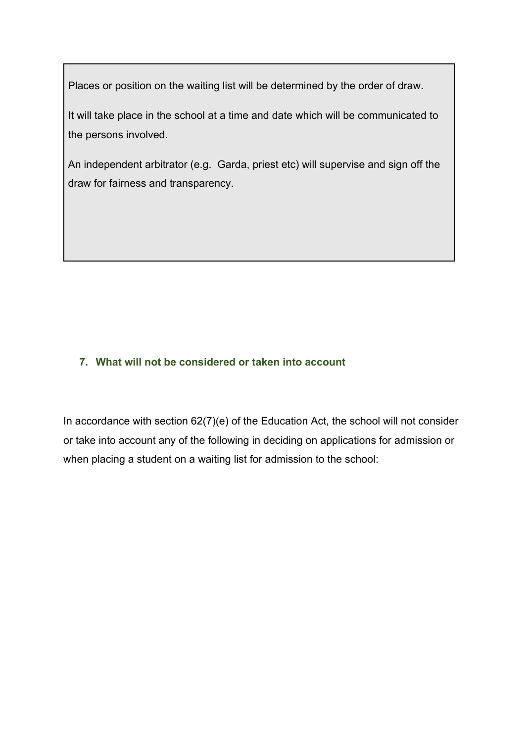Places or position on the waiting list will be determined by the order of draw.

It will take place in the school at a time and date which will be communicated to the persons involved.

An independent arbitrator (e.g. Garda, priest etc) will supervise and sign off the draw for fairness and transparency.

# **7. What will not be considered or taken into account**

In accordance with section 62(7)(e) of the Education Act, the school will not consider or take into account any of the following in deciding on applications for admission or when placing a student on a waiting list for admission to the school: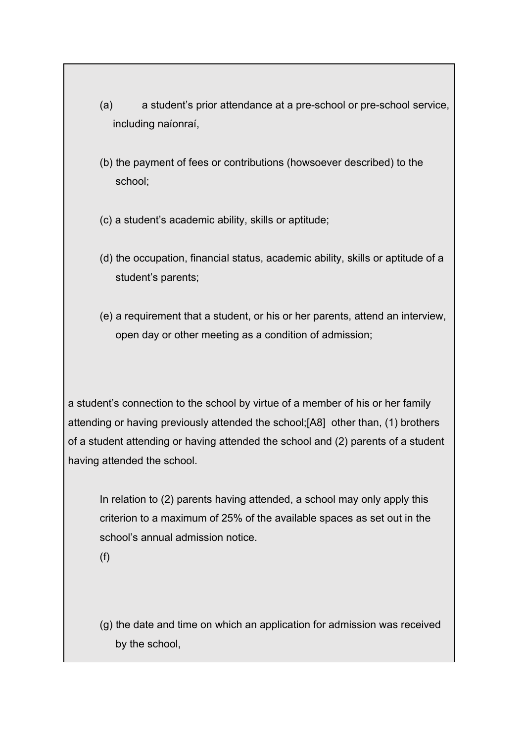- (a) a student's prior attendance at a pre-school or pre-school service, including naíonraí,
- (b) the payment of fees or contributions (howsoever described) to the school;
- (c) a student's academic ability, skills or aptitude;
- (d) the occupation, financial status, academic ability, skills or aptitude of a student's parents;
- (e) a requirement that a student, or his or her parents, attend an interview, open day or other meeting as a condition of admission;

a student's connection to the school by virtue of a member of his or her family attending or having previously attended the school;[A8] other than, (1) brothers of a student attending or having attended the school and (2) parents of a student having attended the school.

In relation to (2) parents having attended, a school may only apply this criterion to a maximum of 25% of the available spaces as set out in the school's annual admission notice.

(f)

(g) the date and time on which an application for admission was received by the school,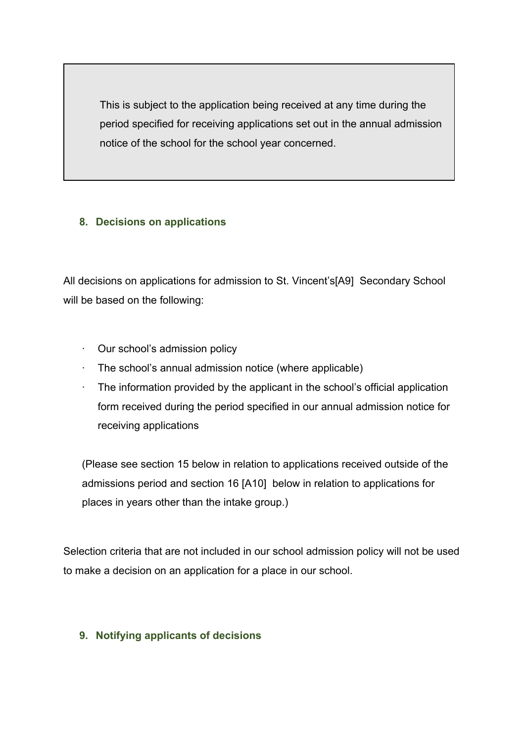This is subject to the application being received at any time during the period specified for receiving applications set out in the annual admission notice of the school for the school year concerned.

### **8. Decisions on applications**

All decisions on applications for admission to St. Vincent's[A9] Secondary School will be based on the following:

- · Our school's admission policy
- · The school's annual admission notice (where applicable)
- $\cdot$  The information provided by the applicant in the school's official application form received during the period specified in our annual admission notice for receiving applications

(Please see section 15 below in relation to applications received outside of the admissions period and section 16 [A10] below in relation to applications for places in years other than the intake group.)

Selection criteria that are not included in our school admission policy will not be used to make a decision on an application for a place in our school.

### **9. Notifying applicants of decisions**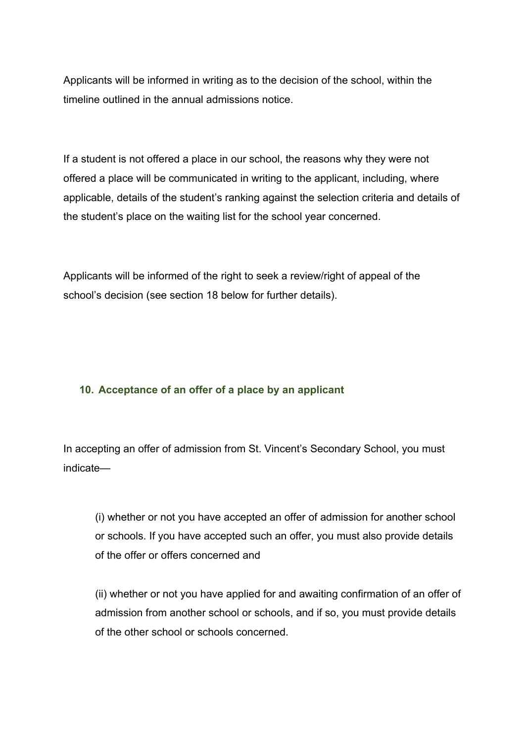Applicants will be informed in writing as to the decision of the school, within the timeline outlined in the annual admissions notice.

If a student is not offered a place in our school, the reasons why they were not offered a place will be communicated in writing to the applicant, including, where applicable, details of the student's ranking against the selection criteria and details of the student's place on the waiting list for the school year concerned.

Applicants will be informed of the right to seek a review/right of appeal of the school's decision (see section 18 below for further details).

#### **10. Acceptance of an offer of a place by an applicant**

In accepting an offer of admission from St. Vincent's Secondary School, you must indicate—

(i) whether or not you have accepted an offer of admission for another school or schools. If you have accepted such an offer, you must also provide details of the offer or offers concerned and

(ii) whether or not you have applied for and awaiting confirmation of an offer of admission from another school or schools, and if so, you must provide details of the other school or schools concerned.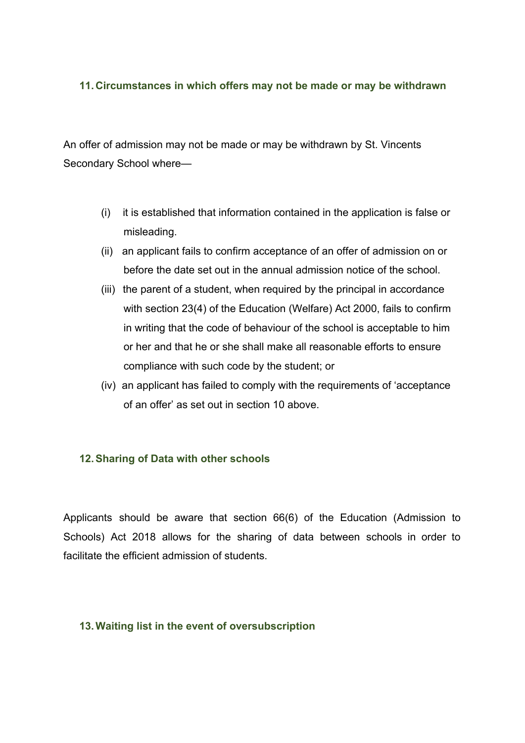#### **11. Circumstances in which offers may not be made or may be withdrawn**

An offer of admission may not be made or may be withdrawn by St. Vincents Secondary School where—

- (i) it is established that information contained in the application is false or misleading.
- (ii) an applicant fails to confirm acceptance of an offer of admission on or before the date set out in the annual admission notice of the school.
- (iii) the parent of a student, when required by the principal in accordance with section 23(4) of the Education (Welfare) Act 2000, fails to confirm in writing that the code of behaviour of the school is acceptable to him or her and that he or she shall make all reasonable efforts to ensure compliance with such code by the student; or
- (iv) an applicant has failed to comply with the requirements of 'acceptance of an offer' as set out in section 10 above.

#### **12.Sharing of Data with other schools**

Applicants should be aware that section 66(6) of the Education (Admission to Schools) Act 2018 allows for the sharing of data between schools in order to facilitate the efficient admission of students.

#### **13.Waiting list in the event of oversubscription**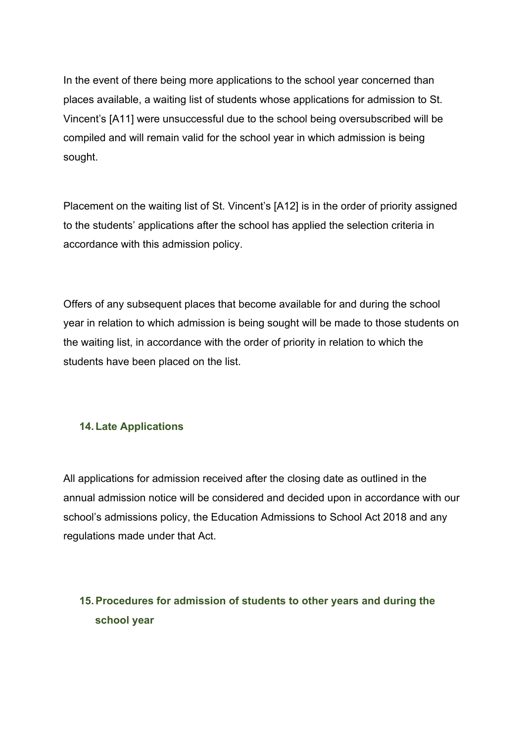In the event of there being more applications to the school year concerned than places available, a waiting list of students whose applications for admission to St. Vincent's [A11] were unsuccessful due to the school being oversubscribed will be compiled and will remain valid for the school year in which admission is being sought.

Placement on the waiting list of St. Vincent's [A12] is in the order of priority assigned to the students' applications after the school has applied the selection criteria in accordance with this admission policy.

Offers of any subsequent places that become available for and during the school year in relation to which admission is being sought will be made to those students on the waiting list, in accordance with the order of priority in relation to which the students have been placed on the list.

#### **14.Late Applications**

All applications for admission received after the closing date as outlined in the annual admission notice will be considered and decided upon in accordance with our school's admissions policy, the Education Admissions to School Act 2018 and any regulations made under that Act.

# **15.Procedures for admission of students to other years and during the school year**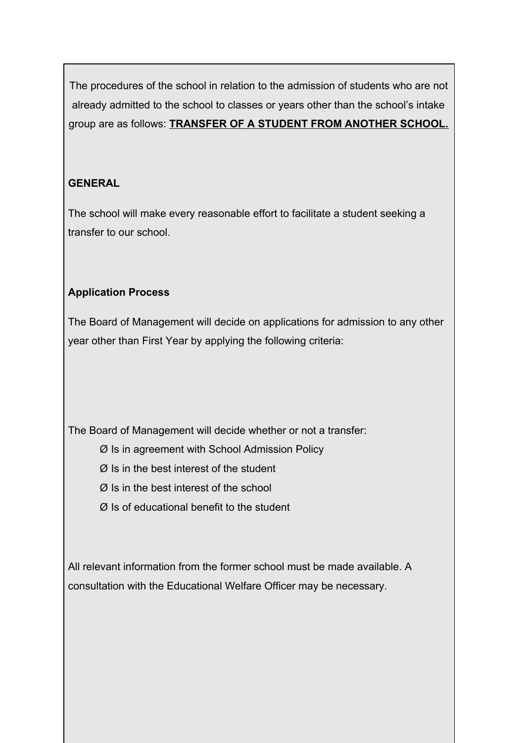The procedures of the school in relation to the admission of students who are not already admitted to the school to classes or years other than the school's intake group are as follows: **TRANSFER OF A STUDENT FROM ANOTHER SCHOOL.**

## **GENERAL**

The school will make every reasonable effort to facilitate a student seeking a transfer to our school.

# **Application Process**

The Board of Management will decide on applications for admission to any other year other than First Year by applying the following criteria:

The Board of Management will decide whether or not a transfer:

Ø Is in agreement with School Admission Policy

Ø Is in the best interest of the student

Ø Is in the best interest of the school

Ø Is of educational benefit to the student

All relevant information from the former school must be made available. A consultation with the Educational Welfare Officer may be necessary.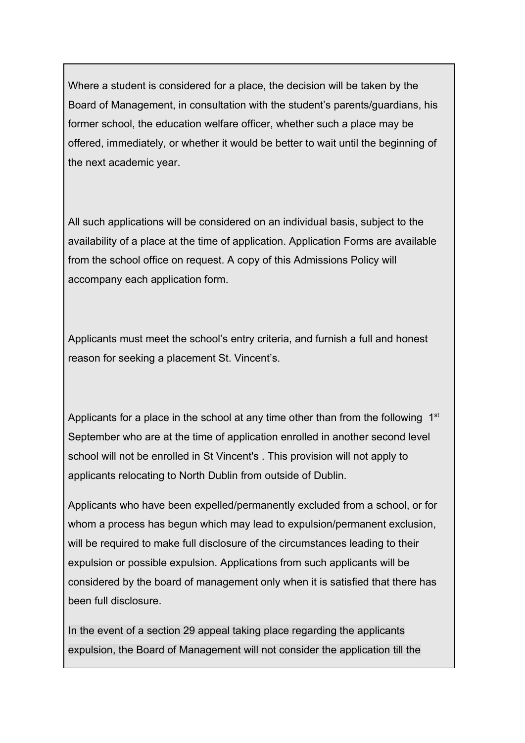Where a student is considered for a place, the decision will be taken by the Board of Management, in consultation with the student's parents/guardians, his former school, the education welfare officer, whether such a place may be offered, immediately, or whether it would be better to wait until the beginning of the next academic year.

All such applications will be considered on an individual basis, subject to the availability of a place at the time of application. Application Forms are available from the school office on request. A copy of this Admissions Policy will accompany each application form.

Applicants must meet the school's entry criteria, and furnish a full and honest reason for seeking a placement St. Vincent's.

Applicants for a place in the school at any time other than from the following  $1<sup>st</sup>$ September who are at the time of application enrolled in another second level school will not be enrolled in St Vincent's . This provision will not apply to applicants relocating to North Dublin from outside of Dublin.

Applicants who have been expelled/permanently excluded from a school, or for whom a process has begun which may lead to expulsion/permanent exclusion, will be required to make full disclosure of the circumstances leading to their expulsion or possible expulsion. Applications from such applicants will be considered by the board of management only when it is satisfied that there has been full disclosure.

In the event of a section 29 appeal taking place regarding the applicants expulsion, the Board of Management will not consider the application till the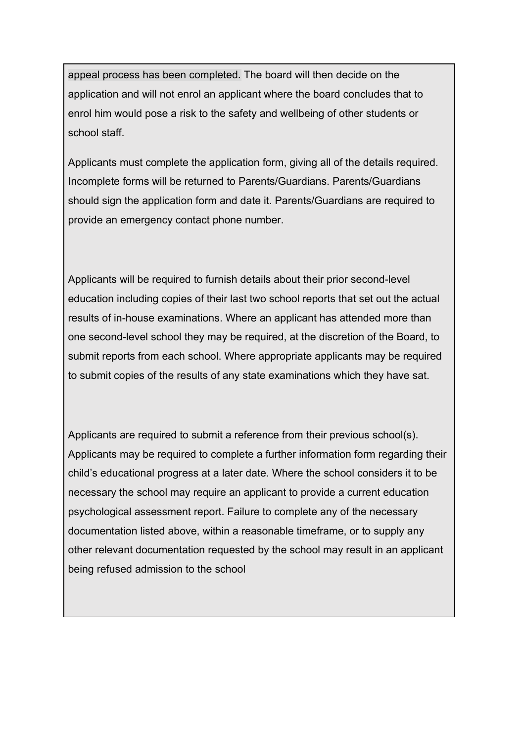appeal process has been completed. The board will then decide on the application and will not enrol an applicant where the board concludes that to enrol him would pose a risk to the safety and wellbeing of other students or school staff.

Applicants must complete the application form, giving all of the details required. Incomplete forms will be returned to Parents/Guardians. Parents/Guardians should sign the application form and date it. Parents/Guardians are required to provide an emergency contact phone number.

Applicants will be required to furnish details about their prior second-level education including copies of their last two school reports that set out the actual results of in-house examinations. Where an applicant has attended more than one second-level school they may be required, at the discretion of the Board, to submit reports from each school. Where appropriate applicants may be required to submit copies of the results of any state examinations which they have sat.

Applicants are required to submit a reference from their previous school(s). Applicants may be required to complete a further information form regarding their child's educational progress at a later date. Where the school considers it to be necessary the school may require an applicant to provide a current education psychological assessment report. Failure to complete any of the necessary documentation listed above, within a reasonable timeframe, or to supply any other relevant documentation requested by the school may result in an applicant being refused admission to the school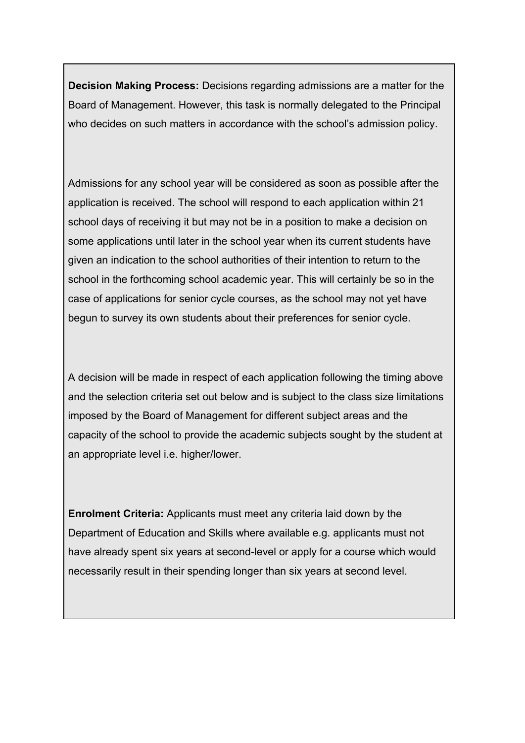**Decision Making Process:** Decisions regarding admissions are a matter for the Board of Management. However, this task is normally delegated to the Principal who decides on such matters in accordance with the school's admission policy.

Admissions for any school year will be considered as soon as possible after the application is received. The school will respond to each application within 21 school days of receiving it but may not be in a position to make a decision on some applications until later in the school year when its current students have given an indication to the school authorities of their intention to return to the school in the forthcoming school academic year. This will certainly be so in the case of applications for senior cycle courses, as the school may not yet have begun to survey its own students about their preferences for senior cycle.

A decision will be made in respect of each application following the timing above and the selection criteria set out below and is subject to the class size limitations imposed by the Board of Management for different subject areas and the capacity of the school to provide the academic subjects sought by the student at an appropriate level i.e. higher/lower.

**Enrolment Criteria:** Applicants must meet any criteria laid down by the Department of Education and Skills where available e.g. applicants must not have already spent six years at second-level or apply for a course which would necessarily result in their spending longer than six years at second level.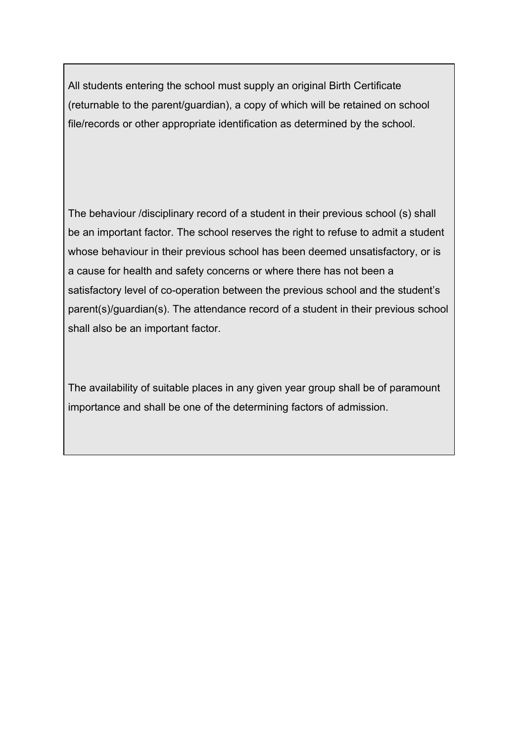All students entering the school must supply an original Birth Certificate (returnable to the parent/guardian), a copy of which will be retained on school file/records or other appropriate identification as determined by the school.

The behaviour /disciplinary record of a student in their previous school (s) shall be an important factor. The school reserves the right to refuse to admit a student whose behaviour in their previous school has been deemed unsatisfactory, or is a cause for health and safety concerns or where there has not been a satisfactory level of co-operation between the previous school and the student's parent(s)/guardian(s). The attendance record of a student in their previous school shall also be an important factor.

The availability of suitable places in any given year group shall be of paramount importance and shall be one of the determining factors of admission.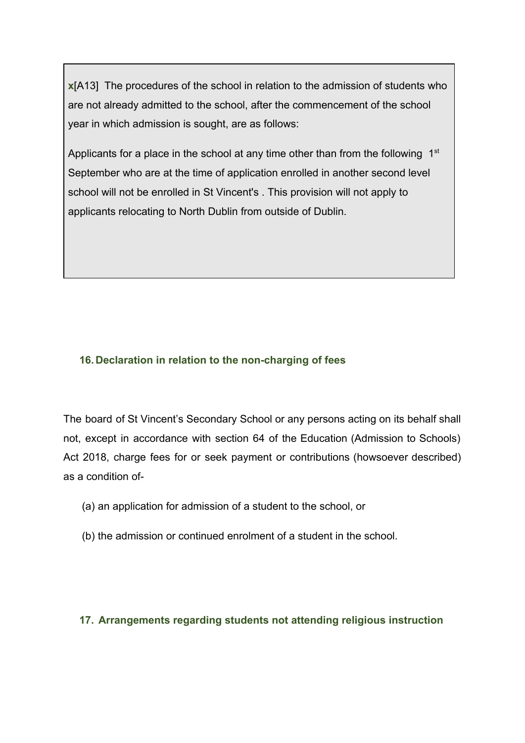**x**[A13] The procedures of the school in relation to the admission of students who are not already admitted to the school, after the commencement of the school year in which admission is sought, are as follows:

Applicants for a place in the school at any time other than from the following  $1<sup>st</sup>$ September who are at the time of application enrolled in another second level school will not be enrolled in St Vincent's . This provision will not apply to applicants relocating to North Dublin from outside of Dublin.

### **16. Declaration in relation to the non-charging of fees**

The board of St Vincent's Secondary School or any persons acting on its behalf shall not, except in accordance with section 64 of the Education (Admission to Schools) Act 2018, charge fees for or seek payment or contributions (howsoever described) as a condition of-

- (a) an application for admission of a student to the school, or
- (b) the admission or continued enrolment of a student in the school.

#### **17. Arrangements regarding students not attending religious instruction**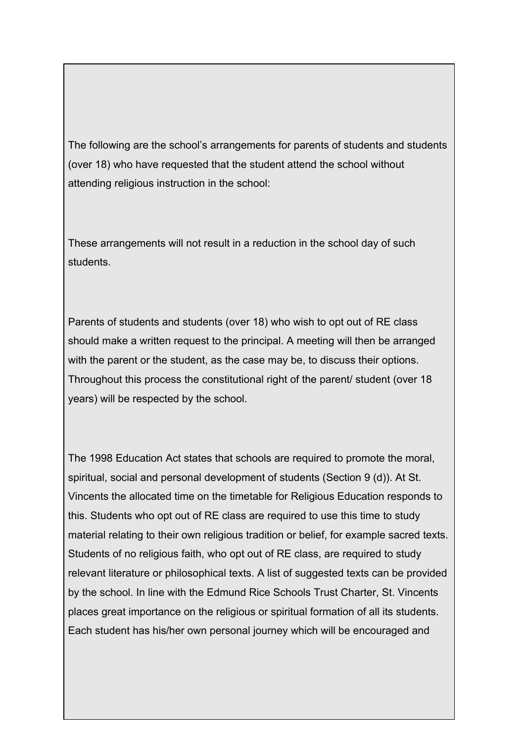The following are the school's arrangements for parents of students and students (over 18) who have requested that the student attend the school without attending religious instruction in the school:

These arrangements will not result in a reduction in the school day of such students.

Parents of students and students (over 18) who wish to opt out of RE class should make a written request to the principal. A meeting will then be arranged with the parent or the student, as the case may be, to discuss their options. Throughout this process the constitutional right of the parent/ student (over 18 years) will be respected by the school.

The 1998 Education Act states that schools are required to promote the moral, spiritual, social and personal development of students (Section 9 (d)). At St. Vincents the allocated time on the timetable for Religious Education responds to this. Students who opt out of RE class are required to use this time to study material relating to their own religious tradition or belief, for example sacred texts. Students of no religious faith, who opt out of RE class, are required to study relevant literature or philosophical texts. A list of suggested texts can be provided by the school. In line with the Edmund Rice Schools Trust Charter, St. Vincents places great importance on the religious or spiritual formation of all its students. Each student has his/her own personal journey which will be encouraged and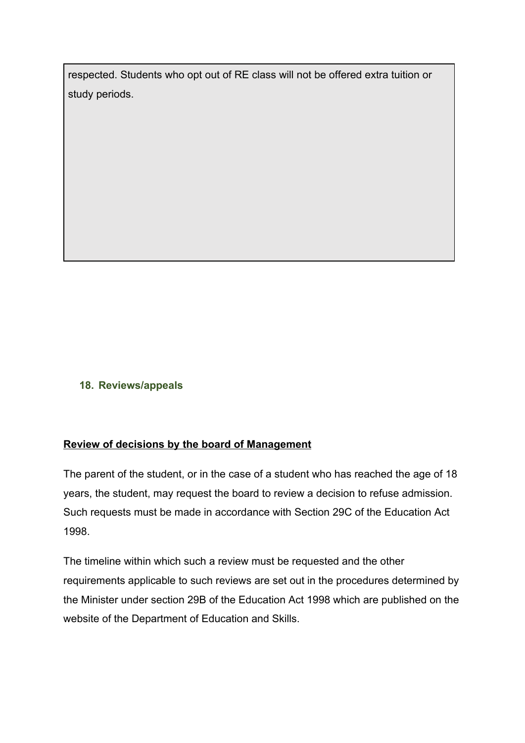respected. Students who opt out of RE class will not be offered extra tuition or study periods.

### **18. Reviews/appeals**

### **Review of decisions by the board of Management**

The parent of the student, or in the case of a student who has reached the age of 18 years, the student, may request the board to review a decision to refuse admission. Such requests must be made in accordance with Section 29C of the Education Act 1998.

The timeline within which such a review must be requested and the other requirements applicable to such reviews are set out in the procedures determined by the Minister under section 29B of the Education Act 1998 which are published on the website of the Department of Education and Skills.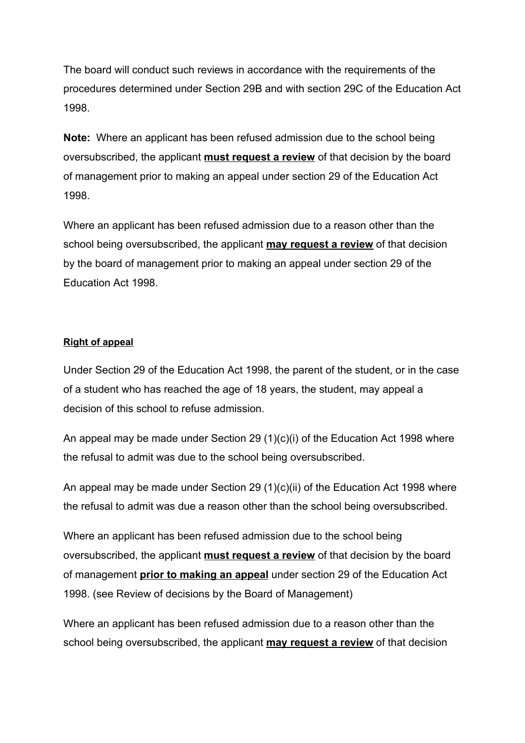The board will conduct such reviews in accordance with the requirements of the procedures determined under Section 29B and with section 29C of the Education Act 1998.

**Note:** Where an applicant has been refused admission due to the school being oversubscribed, the applicant **must request a review** of that decision by the board of management prior to making an appeal under section 29 of the Education Act 1998.

Where an applicant has been refused admission due to a reason other than the school being oversubscribed, the applicant **may request a review** of that decision by the board of management prior to making an appeal under section 29 of the Education Act 1998.

#### **Right of appeal**

Under Section 29 of the Education Act 1998, the parent of the student, or in the case of a student who has reached the age of 18 years, the student, may appeal a decision of this school to refuse admission.

An appeal may be made under Section 29 (1)(c)(i) of the Education Act 1998 where the refusal to admit was due to the school being oversubscribed.

An appeal may be made under Section 29 (1)(c)(ii) of the Education Act 1998 where the refusal to admit was due a reason other than the school being oversubscribed.

Where an applicant has been refused admission due to the school being oversubscribed, the applicant **must request a review** of that decision by the board of management **prior to making an appeal** under section 29 of the Education Act 1998. (see Review of decisions by the Board of Management)

Where an applicant has been refused admission due to a reason other than the school being oversubscribed, the applicant **may request a review** of that decision